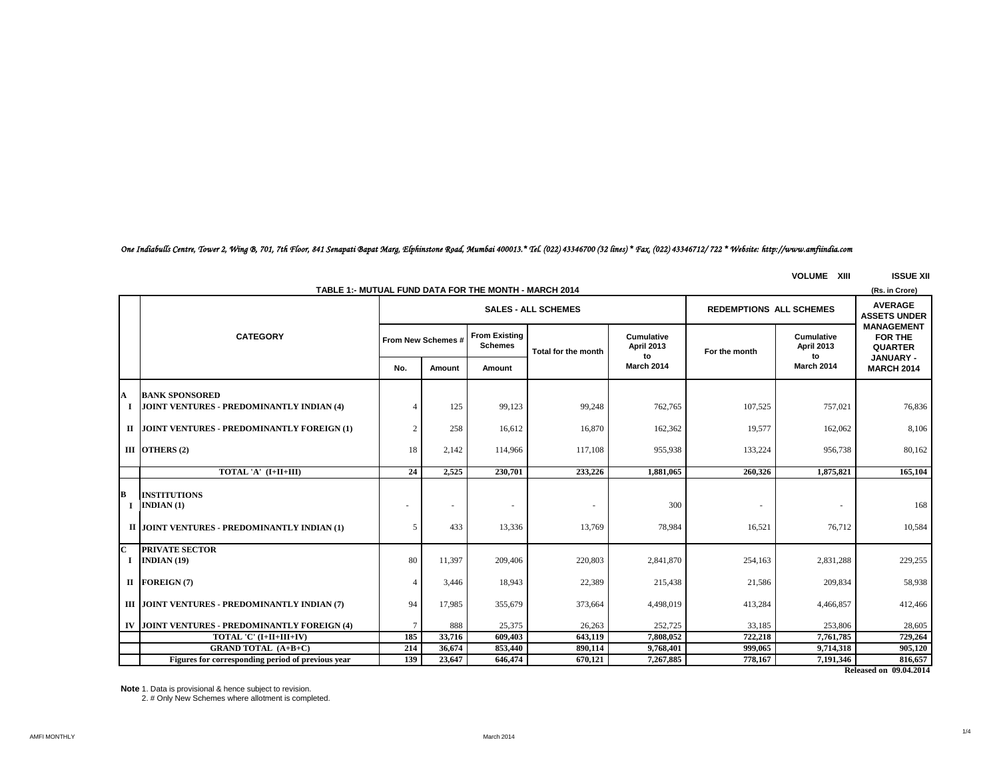# *One Indiabulls Centre, Tower 2, Wing B, 701, 7th Floor, 841 Senapati Bapat Marg, Elphinstone Road, Mumbai 400013.\* Tel. (022) 43346700 (32 lines) \* Fax. (022) 43346712/ 722 \* Website: http://www.amfiindia.com*

**VOLUME XIII ISSUE XII**

| TABLE 1:- MUTUAL FUND DATA FOR THE MONTH - MARCH 2014<br>(Rs. in Crore) |                                                                                  |               |                                                              |                                        |                     |                                       |               |                                       |                                                |
|-------------------------------------------------------------------------|----------------------------------------------------------------------------------|---------------|--------------------------------------------------------------|----------------------------------------|---------------------|---------------------------------------|---------------|---------------------------------------|------------------------------------------------|
|                                                                         |                                                                                  |               | <b>REDEMPTIONS ALL SCHEMES</b><br><b>SALES - ALL SCHEMES</b> |                                        |                     |                                       |               |                                       |                                                |
|                                                                         | <b>CATEGORY</b>                                                                  |               | From New Schemes #                                           | <b>From Existing</b><br><b>Schemes</b> | Total for the month | <b>Cumulative</b><br>April 2013<br>to | For the month | <b>Cumulative</b><br>April 2013<br>to | <b>MANAGEMENT</b><br>FOR THE<br><b>QUARTER</b> |
|                                                                         |                                                                                  | No.           | Amount                                                       | Amount                                 |                     | <b>March 2014</b>                     |               | March 2014                            | <b>JANUARY -</b><br><b>MARCH 2014</b>          |
| A                                                                       | <b>BANK SPONSORED</b><br>JOINT VENTURES - PREDOMINANTLY INDIAN (4)               |               | 125                                                          | 99,123                                 | 99,248              | 762,765                               | 107,525       | 757,021                               | 76,836                                         |
|                                                                         | II JOINT VENTURES - PREDOMINANTLY FOREIGN (1)                                    | $\mathcal{D}$ | 258                                                          | 16,612                                 | 16,870              | 162,362                               | 19,577        | 162,062                               | 8,106                                          |
|                                                                         | III OTHERS $(2)$                                                                 | 18            | 2,142                                                        | 114,966                                | 117,108             | 955,938                               | 133,224       | 956,738                               | 80,162                                         |
|                                                                         | TOTAL 'A' (I+II+III)                                                             | 24            | 2,525                                                        | 230,701                                | 233,226             | 1,881,065                             | 260,326       | 1,875,821                             | 165,104                                        |
| lв                                                                      | <b>INSTITUTIONS</b><br>INDIAN(1)<br>II JOINT VENTURES - PREDOMINANTLY INDIAN (1) | 5             | 433                                                          | $\sim$<br>13,336                       | 13,769              | 300<br>78,984                         | 16,521        | ۰<br>76,712                           | 168<br>10,584                                  |
|                                                                         |                                                                                  |               |                                                              |                                        |                     |                                       |               |                                       |                                                |
| ІC<br>Т.                                                                | <b>PRIVATE SECTOR</b><br>INDIAN $(19)$                                           | 80            | 11,397                                                       | 209,406                                | 220,803             | 2,841,870                             | 254,163       | 2,831,288                             | 229,255                                        |
|                                                                         | II FOREIGN(7)                                                                    |               | 3,446                                                        | 18,943                                 | 22,389              | 215,438                               | 21,586        | 209,834                               | 58,938                                         |
|                                                                         | III JOINT VENTURES - PREDOMINANTLY INDIAN (7)                                    | 94            | 17.985                                                       | 355,679                                | 373,664             | 4,498,019                             | 413,284       | 4,466,857                             | 412,466                                        |
|                                                                         | IV JOINT VENTURES - PREDOMINANTLY FOREIGN (4)                                    | $\tau$        | 888                                                          | 25,375                                 | 26,263              | 252,725                               | 33,185        | 253,806                               | 28,605                                         |
|                                                                         | TOTAL 'C' (I+II+III+IV)                                                          | 185           | 33,716                                                       | 609,403                                | 643,119             | 7,808,052                             | 722,218       | 7,761,785                             | 729,264                                        |
|                                                                         | <b>GRAND TOTAL (A+B+C)</b>                                                       | 214           | 36,674                                                       | 853,440                                | 890,114             | 9,768,401                             | 999,065       | 9,714,318                             | 905,120                                        |
|                                                                         | Figures for corresponding period of previous year                                | 139           | 23,647                                                       | 646,474                                | 670,121             | 7,267,885                             | 778,167       | 7,191,346                             | 816,657                                        |
|                                                                         |                                                                                  |               |                                                              |                                        |                     |                                       |               |                                       | Released on 09.04.2014                         |

**TABLE 1:- MUTUAL FUND DATA FOR THE MONTH - MARCH 2014**

**Note** 1. Data is provisional & hence subject to revision.

2. # Only New Schemes where allotment is completed.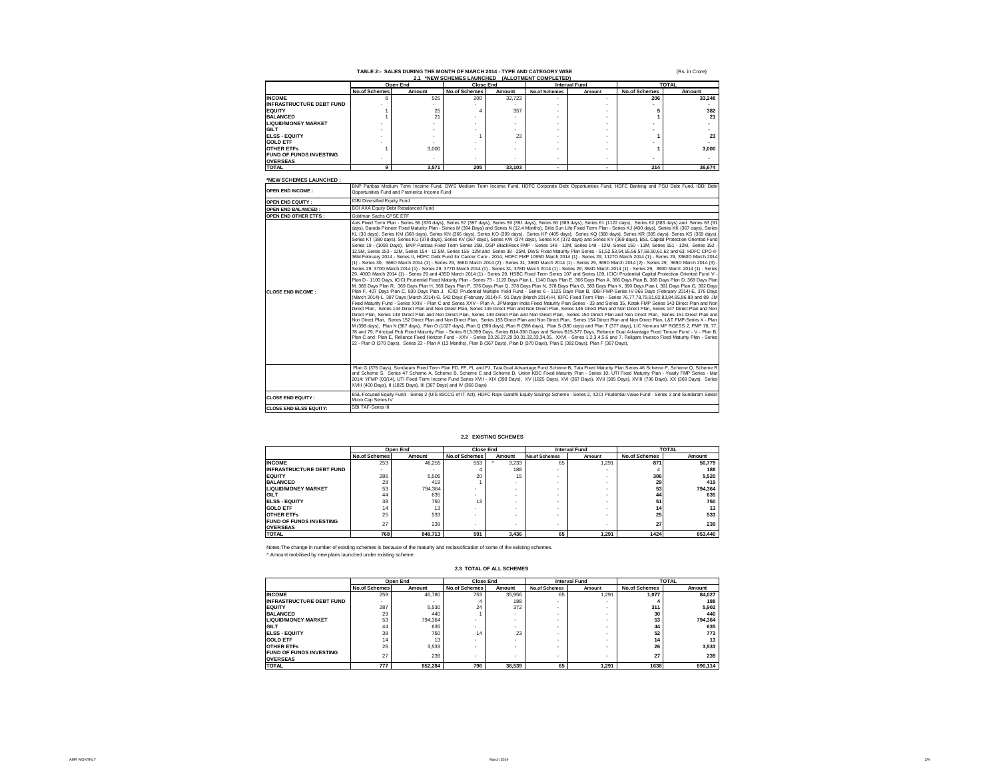# TABLE 2:- SALES DURING THE MONTH OF MARCH 2014 - TYPE AND CATEGORY WISE<br>2.1 \*NEW SCHEMES LAUNCHED (ALLOTMENT COMPLETED)

| 4. NEW YOULING LAVING INCLUINENT VOIN CEILDI |                      |          |                          |        |                      |                      |                      |        |
|----------------------------------------------|----------------------|----------|--------------------------|--------|----------------------|----------------------|----------------------|--------|
|                                              |                      | Open End | <b>Close End</b>         |        |                      | <b>Interval Fund</b> | <b>TOTAL</b>         |        |
|                                              | <b>No.of Schemes</b> | Amount   | <b>No.of Schemes</b>     | Amount | <b>No.of Schemes</b> | Amount               | <b>No.of Schemes</b> | Amount |
| <b>INCOME</b>                                |                      | 525      | 200                      | 32.723 |                      |                      | 206                  | 33,248 |
| <b>INFRASTRUCTURE DEBT FUND</b>              |                      |          |                          |        |                      |                      |                      |        |
| <b>EQUITY</b>                                |                      | 25       |                          | 357    |                      |                      |                      | 382    |
| <b>BALANCED</b>                              |                      | 21       |                          |        |                      |                      |                      | 21     |
| <b>LIQUID/MONEY MARKET</b>                   |                      |          |                          |        |                      |                      |                      |        |
| GILT                                         |                      |          |                          |        |                      |                      |                      |        |
| <b>ELSS - EQUITY</b>                         |                      |          |                          | 23     |                      |                      |                      | 23     |
| <b>GOLD ETF</b>                              |                      |          |                          |        |                      |                      |                      |        |
| <b>OTHER ETFS</b>                            |                      | 3.000    |                          |        |                      |                      |                      | 3,000  |
| <b>FUND OF FUNDS INVESTING</b>               |                      |          | $\overline{\phantom{a}}$ |        |                      |                      |                      |        |
| <b>OVERSEAS</b>                              |                      |          |                          |        |                      |                      |                      |        |
| <b>TOTAL</b>                                 |                      | 3.571    | 205                      | 33.103 |                      |                      | 214                  | 36,674 |

(Rs. in Crore)

#### **\*NEW SCHEMES LAUNCHED :**

| <b>OPEN END INCOME:</b>       | BNP Paribas Medium Term Income Fund, DWS Medium Term Income Fund, HDFC Corporate Debt Opportunities Fund, HDFC Banking and PSU Debt Fund, IDBI Debt<br>Opportunities Fund and Pramerica Income Fund                                                                                                                                                                                                                                                                                                                                                                                                                                                                                                                                                                                                                                                                                                                                                                                                                                                                                                                                                                                                                                                                                                                                                                                                                                                                                                                                                                                                                                                                                                                                                                                                                                                                                                                                                                                                                                                                                                                                                                                                                                                                                                                                                                                                                                                                                                                                                                                                                                                                                                                                                                                                                                                                                                                                                                                                                                                                                                                                                                                                                                                                                                                                                                                                                                                                                                                                                                                                                                                                                                                                                                                                                                                                                                                                                     |
|-------------------------------|---------------------------------------------------------------------------------------------------------------------------------------------------------------------------------------------------------------------------------------------------------------------------------------------------------------------------------------------------------------------------------------------------------------------------------------------------------------------------------------------------------------------------------------------------------------------------------------------------------------------------------------------------------------------------------------------------------------------------------------------------------------------------------------------------------------------------------------------------------------------------------------------------------------------------------------------------------------------------------------------------------------------------------------------------------------------------------------------------------------------------------------------------------------------------------------------------------------------------------------------------------------------------------------------------------------------------------------------------------------------------------------------------------------------------------------------------------------------------------------------------------------------------------------------------------------------------------------------------------------------------------------------------------------------------------------------------------------------------------------------------------------------------------------------------------------------------------------------------------------------------------------------------------------------------------------------------------------------------------------------------------------------------------------------------------------------------------------------------------------------------------------------------------------------------------------------------------------------------------------------------------------------------------------------------------------------------------------------------------------------------------------------------------------------------------------------------------------------------------------------------------------------------------------------------------------------------------------------------------------------------------------------------------------------------------------------------------------------------------------------------------------------------------------------------------------------------------------------------------------------------------------------------------------------------------------------------------------------------------------------------------------------------------------------------------------------------------------------------------------------------------------------------------------------------------------------------------------------------------------------------------------------------------------------------------------------------------------------------------------------------------------------------------------------------------------------------------------------------------------------------------------------------------------------------------------------------------------------------------------------------------------------------------------------------------------------------------------------------------------------------------------------------------------------------------------------------------------------------------------------------------------------------------------------------------------------------------|
| OPEN END EQUITY:              | <b>IDBI Diversified Equity Fund</b>                                                                                                                                                                                                                                                                                                                                                                                                                                                                                                                                                                                                                                                                                                                                                                                                                                                                                                                                                                                                                                                                                                                                                                                                                                                                                                                                                                                                                                                                                                                                                                                                                                                                                                                                                                                                                                                                                                                                                                                                                                                                                                                                                                                                                                                                                                                                                                                                                                                                                                                                                                                                                                                                                                                                                                                                                                                                                                                                                                                                                                                                                                                                                                                                                                                                                                                                                                                                                                                                                                                                                                                                                                                                                                                                                                                                                                                                                                                     |
| OPEN END BALANCED:            | BOI AXA Equity Debt Rebalanced Fund                                                                                                                                                                                                                                                                                                                                                                                                                                                                                                                                                                                                                                                                                                                                                                                                                                                                                                                                                                                                                                                                                                                                                                                                                                                                                                                                                                                                                                                                                                                                                                                                                                                                                                                                                                                                                                                                                                                                                                                                                                                                                                                                                                                                                                                                                                                                                                                                                                                                                                                                                                                                                                                                                                                                                                                                                                                                                                                                                                                                                                                                                                                                                                                                                                                                                                                                                                                                                                                                                                                                                                                                                                                                                                                                                                                                                                                                                                                     |
| OPEN END OTHER ETFS:          | Goldman Sachs CPSE ETF                                                                                                                                                                                                                                                                                                                                                                                                                                                                                                                                                                                                                                                                                                                                                                                                                                                                                                                                                                                                                                                                                                                                                                                                                                                                                                                                                                                                                                                                                                                                                                                                                                                                                                                                                                                                                                                                                                                                                                                                                                                                                                                                                                                                                                                                                                                                                                                                                                                                                                                                                                                                                                                                                                                                                                                                                                                                                                                                                                                                                                                                                                                                                                                                                                                                                                                                                                                                                                                                                                                                                                                                                                                                                                                                                                                                                                                                                                                                  |
| <b>CLOSE END INCOME:</b>      | Axis Fixed Term Plan - Series 56 (370 days), Series 57 (397 days), Series 59 (391 days), Series 60 (389 days), Series 61 (1122 days), Series 62 (383 days) and Series 63 (91<br>days), Baroda Pioneer Fixed Maturity Plan - Series M (394 Days) and Series N (12.4 Months), Birla Sun Life Fixed Term Plan - Series KJ (400 days), Series KK (367 days), Series<br>KL (30 days), Series KM (368 days), Series KN (366 days), Series KO (399 days), Series KP (405 days), Series KQ (368 days), Series KR (385 days), Series KS (369 days),<br>Series KT (380 days), Series KU (378 days), Series KV (367 days), Series KW (374 days), Series KX (372 days) and Series KY (369 days), BSL Capital Protection Oriented Fund<br>Series 19 - (1093 Days), BNP Paribas Fixed Term Series 29B, DSP BlackRock FMP - Series 148 - 12M, Series 149 - 12M, Series 150 - 13M, Series 151 - 12M, Series 151 - 12M, Series 155 -<br>12.5M, Series 153 - 12M, Series 154 - 12.5M, Series 155- 12M and Series 38 - 25M, DWS Fixed Maturity Plan Series - 51,52,53,54,55,56,57,58,60,61,62 and 63, HDFC CPO-II-<br>36M February 2014 - Series II, HDFC Debt Fund for Cancer Cure - 2014, HDFC FMP 1095D March 2014 (1) - Series 29, 1127D March 2014 (1) - Series 29, 3360D March 2014<br>(1) - Series 30, 366D March 2014 (1) - Series 29, 366D March 2014 (2) - Series 31, 369D March 2014 (1) - Series 29, 369D March 2014 (2) - Series 29, 369D March 2014 (3) -<br>Series 29, 370D March 2014 (1) - Series 29, 377D March 2014 (1) - Series 31, 378D March 2014 (1) - Series 29, 384D March 2014 (1) - Series 29, 390D March 2014 (1) - Series<br>29. 400D March 2014 (1) - Series 29 and 435D March 2014 (1) - Series 29. HSBC Fixed Term Series 107 and Series 109. ICICI Prudential Capital Protection Oriented Fund V -<br>Plan D - 1100 Days, ICICI Prudential Fixed Maturity Plan - Series 73 - 1120 Days Plan L, 1140 Days Plan E, 366 Days Plan A, 366 Days Plan B, 368 Days Plan D, 368 Days Plan D, 368 Days Plan<br>M, 368 Days Plan R, 369 Days Plan H, 369 Days Plan P, 376 Days Plan Q, 378 Days Plan N, 378 Days Plan O, 383 Days Plan K, 390 Days Plan I, 391 Days Plan G, 392 Days<br>Plan F. 407 Davs Plan C. 830 Davs Plan J. ICICI Prudential Multiple Yield Fund - Series 6 - 1125 Davs Plan B. IDBI FMP-Series IV-366 Davs (February 2014)-E. 376 Davs<br>(March 2014)-L. 387 Days (March 2014)-G. 542 Days (February 2014)-F. 91 Days (March 2014)-H. IDFC Fixed Term Plan - Series 76.77.78.79.81.82.83.84.85.86.88 and 89. JM<br>Fixed Maturity Fund - Series XXIV - Plan C and Series XXV - Plan A, JPMorgan India Fixed Maturity Plan Series - 33 and Series 35, Kotak FMP Series 143 Direct Plan and Non<br>Direct Plan, Series 144 Direct Plan and Non Direct Plan, Series 145 Direct Plan and Non Direct Plan, Series 146 Direct Plan and Non Direct Plan, Series 147 Direct Plan and Non<br>Direct Plan, Series 148 Direct Plan and Non Direct Plan, Series 149 Direct Plan and Non Direct Plan, Series 150 Direct Plan and Non Direct Plan, Series 151 Direct Plan and<br>Non Direct Plan, Series 152 Direct Plan and Non Direct Plan, Series 153 Direct Plan and Non Direct Plan, Series 154 Direct Plan and Non Direct Plan, L&T FMP-Series X - Plan<br>M (398 days), Plan N (367 days), Plan O (1027 days), Plan Q (390 days), Plan R (386 days), Plan S (380 days) and Plan T (377 days), LIC Nomura MF RGESS 2, FMP 76, 77,<br>78 and 79. Principal Pnb Fixed Maturity Plan - Series B13-399 Days, Series B14-390 Days and Series B15-377 Days, Reliance Dual Advantage Fixed Tenure Fund - V - Plan B.<br>Plan C and Plan E. Reliance Fixed Horizon Fund - XXV - Series 23.26.27.29.30.31.32.33.34.35. XXVI - Series 1.2.3.4.5.6 and 7. Religare Invesco Fixed Maturity Plan - Series<br>22 - Plan O (370 Days), Series 23 - Plan A (13 Months), Plan B (367 Days), Plan D (370 Days), Plan E (382 Days), Plan F (367 Days), |
|                               | Plan G (376 Days), Sundaram Fixed Term Plan FD, FF, FI, and FJ, Tata Dual Advantage Fund Scheme B, Tata Fixed Maturity Plan Series 46 Scheme P, Scheme Q, Scheme R<br>and Scheme S. Series 47 Scheme A. Scheme B. Scheme C and Scheme D. Union KBC Fixed Maturity Plan - Series 10, UTI Fixed Maturity Plan - Yearly FMP Series - Mar<br>2014: YFMP (03/14), UTI Fixed Term Income Fund Series XVII - XIX (398 Days), XV (1825 Days), XVI (367 Days), XVII (395 Days), XVIII (796 Days), XX (369 Days), Series<br>XVIII (400 Davs), II (1825 Davs), III (367 Davs) and IV (366 Davs)                                                                                                                                                                                                                                                                                                                                                                                                                                                                                                                                                                                                                                                                                                                                                                                                                                                                                                                                                                                                                                                                                                                                                                                                                                                                                                                                                                                                                                                                                                                                                                                                                                                                                                                                                                                                                                                                                                                                                                                                                                                                                                                                                                                                                                                                                                                                                                                                                                                                                                                                                                                                                                                                                                                                                                                                                                                                                                                                                                                                                                                                                                                                                                                                                                                                                                                                                                    |
| <b>CLOSE END EQUITY:</b>      | BSL Focused Equity Fund - Series 2 (U/S 80CCG of IT Act), HDFC Rajiv Gandhi Equity Savings Scheme - Series 2, ICICI Prudential Value Fund - Series 3 and Sundaram Select<br>Micro Cap Series IV                                                                                                                                                                                                                                                                                                                                                                                                                                                                                                                                                                                                                                                                                                                                                                                                                                                                                                                                                                                                                                                                                                                                                                                                                                                                                                                                                                                                                                                                                                                                                                                                                                                                                                                                                                                                                                                                                                                                                                                                                                                                                                                                                                                                                                                                                                                                                                                                                                                                                                                                                                                                                                                                                                                                                                                                                                                                                                                                                                                                                                                                                                                                                                                                                                                                                                                                                                                                                                                                                                                                                                                                                                                                                                                                                         |
| <b>CLOSE END ELSS EQUITY:</b> | SBI TAF-Series III                                                                                                                                                                                                                                                                                                                                                                                                                                                                                                                                                                                                                                                                                                                                                                                                                                                                                                                                                                                                                                                                                                                                                                                                                                                                                                                                                                                                                                                                                                                                                                                                                                                                                                                                                                                                                                                                                                                                                                                                                                                                                                                                                                                                                                                                                                                                                                                                                                                                                                                                                                                                                                                                                                                                                                                                                                                                                                                                                                                                                                                                                                                                                                                                                                                                                                                                                                                                                                                                                                                                                                                                                                                                                                                                                                                                                                                                                                                                      |

#### **2.2 EXISTING SCHEMES**

|                                                   | Open End             |         |                      | <b>Close End</b><br><b>Interval Fund</b> |                      |        | <b>TOTAL</b>         |         |
|---------------------------------------------------|----------------------|---------|----------------------|------------------------------------------|----------------------|--------|----------------------|---------|
|                                                   | <b>No.of Schemes</b> | Amount  | <b>No.of Schemes</b> | Amount                                   | <b>No.of Schemes</b> | Amount | <b>No.of Schemes</b> | Amount  |
| <b>INCOME</b>                                     | 253                  | 46.255  | 553                  | 3.233<br>$\sim$                          | 65                   | 1.291  | 871                  | 50.779  |
| <b>INFRASTRUCTURE DEBT FUND</b>                   |                      |         |                      | 188                                      | ٠                    |        |                      | 188     |
| <b>EQUITY</b>                                     | 286                  | 5.505   | 20                   | 15                                       |                      |        | 306                  | 5.520   |
| <b>BALANCED</b>                                   | 28                   | 419     |                      |                                          | ٠                    |        | 29                   | 419     |
| <b>LIQUID/MONEY MARKET</b>                        | 53                   | 794.364 |                      |                                          | ٠                    |        | 53                   | 794.364 |
| GILT                                              | 44                   | 635     |                      |                                          |                      |        | 44                   | 635     |
| <b>ELSS - EQUITY</b>                              | 38                   | 750     | 13                   |                                          | ٠                    |        | 51                   | 750     |
| <b>GOLD ETF</b>                                   | 14                   | 13      |                      |                                          | ٠                    |        | 14                   | 13      |
| <b>OTHER ETFS</b>                                 | 25                   | 533     |                      |                                          | ٠                    |        | 25                   | 533     |
| <b>FUND OF FUNDS INVESTING</b><br><b>OVERSEAS</b> | 27                   | 239     | ٠                    |                                          | ٠                    | ٠      | 27                   | 239     |
| <b>TOTAL</b>                                      | 768                  | 848,713 | 591                  | 3.436                                    | 65                   | 1.291  | 1424                 | 853,440 |

Notes:The change in number of existing schemes is because of the maturity and reclassification of some of the existing schemes. ^ Amount mobilised by new plans launched under existing scheme.

### **2.3 TOTAL OF ALL SCHEMES**

|                                 | Open End             |         | <b>Close End</b>     |        | <b>Interval Fund</b> |        | <b>TOTAL</b>         |         |
|---------------------------------|----------------------|---------|----------------------|--------|----------------------|--------|----------------------|---------|
|                                 | <b>No.of Schemes</b> | Amount  | <b>No.of Schemes</b> | Amount | <b>No.of Schemes</b> | Amount | <b>No.of Schemes</b> | Amount  |
| <b>INCOME</b>                   | 259                  | 46,780  | 753                  | 35.956 | 65                   | 1.291  | 1.077                | 84.027  |
| <b>INFRASTRUCTURE DEBT FUND</b> |                      |         |                      | 188    | ٠                    |        |                      | 188     |
| <b>EQUITY</b>                   | 287                  | 5.530   | 24                   | 372    | ٠                    |        | 311                  | 5.902   |
| <b>BALANCED</b>                 | 29                   | 440     |                      |        | ٠                    | $\sim$ | 30                   | 440     |
| <b>LIQUID/MONEY MARKET</b>      | 53                   | 794,364 |                      |        | ٠                    |        | 53                   | 794.364 |
| GILT                            | 44                   | 635     |                      |        | ٠                    |        | 44                   | 635     |
| <b>ELSS - EQUITY</b>            | 38                   | 750     | 14                   | 23     | ٠                    |        | 52                   | 773     |
| <b>GOLD ETF</b>                 | 14                   | 13      |                      |        | $\sim$               |        | 14                   | 13      |
| <b>OTHER ETFS</b>               | 26                   | 3.533   |                      |        | ٠                    |        | 26                   | 3,533   |
| <b>FUND OF FUNDS INVESTING</b>  | 27                   | 239     |                      |        |                      |        | 27                   | 239     |
| <b>OVERSEAS</b>                 |                      |         | ٠                    |        | ٠                    | ٠      |                      |         |
| <b>TOTAL</b>                    | 777                  | 852.284 | 796                  | 36.539 | 65                   | 1.291  | 1638                 | 890.114 |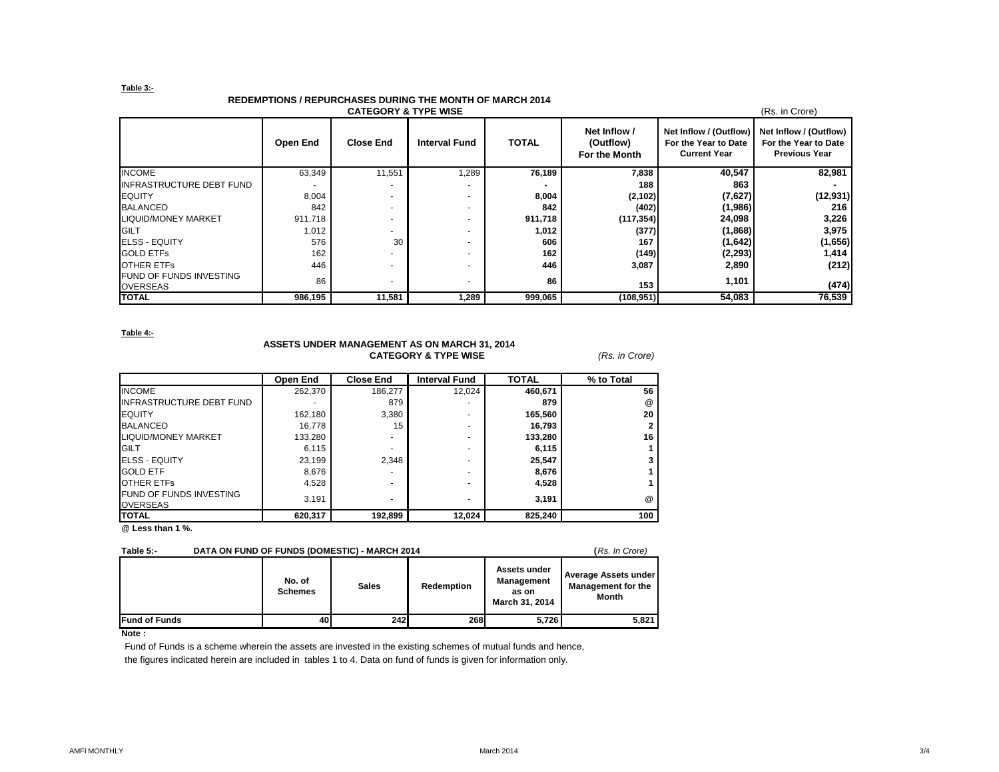## **Table 3:-**

# **REDEMPTIONS / REPURCHASES DURING THE MONTH OF MARCH 2014**

| <b>CATEGORY &amp; TYPE WISE</b><br>(Rs. in Crore) |          |                  |                      |              |                                            |                                                                       |                                                                        |  |  |
|---------------------------------------------------|----------|------------------|----------------------|--------------|--------------------------------------------|-----------------------------------------------------------------------|------------------------------------------------------------------------|--|--|
|                                                   | Open End | <b>Close End</b> | <b>Interval Fund</b> | <b>TOTAL</b> | Net Inflow /<br>(Outflow)<br>For the Month | Net Inflow / (Outflow)<br>For the Year to Date<br><b>Current Year</b> | Net Inflow / (Outflow)<br>For the Year to Date<br><b>Previous Year</b> |  |  |
| <b>INCOME</b>                                     | 63,349   | 11,551           | 1,289                | 76,189       | 7,838                                      | 40,547                                                                | 82,981                                                                 |  |  |
| <b>INFRASTRUCTURE DEBT FUND</b>                   |          |                  |                      |              | 188                                        | 863                                                                   |                                                                        |  |  |
| <b>EQUITY</b>                                     | 8,004    |                  |                      | 8,004        | (2, 102)                                   | (7,627)                                                               | (12, 931)                                                              |  |  |
| <b>BALANCED</b>                                   | 842      |                  |                      | 842          | (402)                                      | (1,986)                                                               | 216                                                                    |  |  |
| <b>LIQUID/MONEY MARKET</b>                        | 911.718  |                  |                      | 911,718      | (117, 354)                                 | 24,098                                                                | 3,226                                                                  |  |  |
| <b>GILT</b>                                       | 1,012    |                  |                      | 1,012        | (377)                                      | (1,868)                                                               | 3,975                                                                  |  |  |
| <b>ELSS - EQUITY</b>                              | 576      | 30               |                      | 606          | 167                                        | (1,642)                                                               | (1,656)                                                                |  |  |
| <b>GOLD ETFS</b>                                  | 162      |                  |                      | 162          | (149)                                      | (2, 293)                                                              | 1,414                                                                  |  |  |
| <b>OTHER ETFS</b>                                 | 446      |                  |                      | 446          | 3,087                                      | 2,890                                                                 | (212)                                                                  |  |  |
| <b>FUND OF FUNDS INVESTING</b><br><b>OVERSEAS</b> | 86       |                  |                      | 86           | 153                                        | 1,101                                                                 | (474)                                                                  |  |  |
| <b>TOTAL</b>                                      | 986,195  | 11,581           | 1,289                | 999,065      | (108, 951)                                 | 54,083                                                                | 76,539                                                                 |  |  |

**Table 4:-**

# **ASSETS UNDER MANAGEMENT AS ON MARCH 31, 2014 CATEGORY & TYPE WISE** *(Rs. in Crore)*

|                                                   | Open End | <b>Close End</b> | <b>Interval Fund</b> | <b>TOTAL</b> | % to Total      |
|---------------------------------------------------|----------|------------------|----------------------|--------------|-----------------|
| <b>INCOME</b>                                     | 262,370  | 186.277          | 12,024               | 460.671      | 56              |
| <b>INFRASTRUCTURE DEBT FUND</b>                   |          | 879              |                      | 879          | @               |
| <b>EQUITY</b>                                     | 162.180  | 3.380            |                      | 165.560      | 20              |
| <b>BALANCED</b>                                   | 16,778   | 15               | ۰                    | 16,793       |                 |
| <b>LIQUID/MONEY MARKET</b>                        | 133,280  |                  |                      | 133.280      | 16              |
| <b>GILT</b>                                       | 6,115    |                  | ۰                    | 6,115        |                 |
| <b>ELSS - EQUITY</b>                              | 23,199   | 2.348            |                      | 25,547       |                 |
| <b>GOLD ETF</b>                                   | 8,676    |                  | ۰                    | 8,676        |                 |
| OTHER ETFS                                        | 4.528    |                  | ۰                    | 4.528        |                 |
| <b>FUND OF FUNDS INVESTING</b><br><b>OVERSEAS</b> | 3,191    | -                |                      | 3,191        | $^{\copyright}$ |
| <b>TOTAL</b>                                      | 620,317  | 192,899          | 12,024               | 825,240      | 100             |

**@ Less than 1 %.**

## **Table 5:- DATA ON FUND OF FUNDS (DOMESTIC) - MARCH 2014 (***Rs. In Crore)*

|                      | No. of<br><b>Schemes</b> | <b>Sales</b> | Redemption | Assets under<br>Management<br>as on<br>March 31, 2014 | Average Assets under<br><b>Management for the</b><br><b>Month</b> |
|----------------------|--------------------------|--------------|------------|-------------------------------------------------------|-------------------------------------------------------------------|
| <b>Fund of Funds</b> | 40                       | 242          | 268        | 5.726                                                 | 5,821                                                             |

**Note :**

Fund of Funds is a scheme wherein the assets are invested in the existing schemes of mutual funds and hence, the figures indicated herein are included in tables 1 to 4. Data on fund of funds is given for information only.